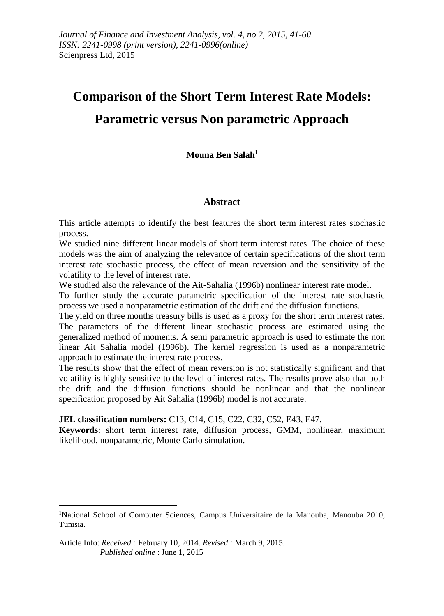# **Comparison of the Short Term Interest Rate Models: Parametric versus Non parametric Approach**

## **Mouna Ben Salah<sup>1</sup>**

#### **Abstract**

This article attempts to identify the best features the short term interest rates stochastic process.

We studied nine different linear models of short term interest rates. The choice of these models was the aim of analyzing the relevance of certain specifications of the short term interest rate stochastic process, the effect of mean reversion and the sensitivity of the volatility to the level of interest rate.

We studied also the relevance of the Ait-Sahalia (1996b) nonlinear interest rate model.

To further study the accurate parametric specification of the interest rate stochastic process we used a nonparametric estimation of the drift and the diffusion functions.

The yield on three months treasury bills is used as a proxy for the short term interest rates. The parameters of the different linear stochastic process are estimated using the generalized method of moments. A semi parametric approach is used to estimate the non linear Ait Sahalia model (1996b). The kernel regression is used as a nonparametric approach to estimate the interest rate process.

The results show that the effect of mean reversion is not statistically significant and that volatility is highly sensitive to the level of interest rates. The results prove also that both the drift and the diffusion functions should be nonlinear and that the nonlinear specification proposed by Ait Sahalia (1996b) model is not accurate.

**JEL classification numbers:** C13, C14, C15, C22, C32, C52, E43, E47.

**Keywords**: short term interest rate, diffusion process, GMM, nonlinear, maximum likelihood, nonparametric, Monte Carlo simulation.

<u>.</u>

<sup>1</sup>National School of Computer Sciences, Campus Universitaire de la Manouba, Manouba 2010, Tunisia.

Article Info: *Received :* February 10, 2014*. Revised :* March 9, 2015.  *Published online* : June 1, 2015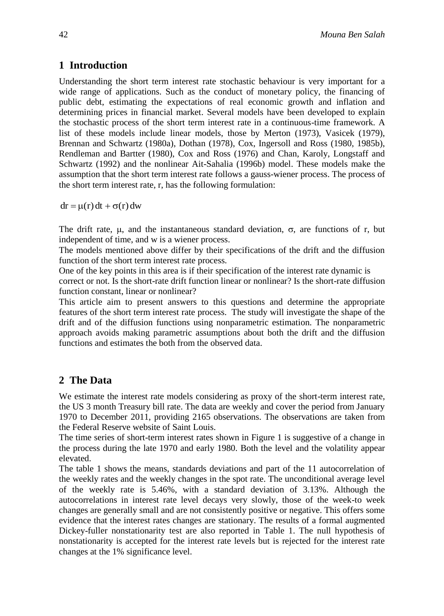# **1 Introduction**

Understanding the short term interest rate stochastic behaviour is very important for a wide range of applications. Such as the conduct of monetary policy, the financing of public debt, estimating the expectations of real economic growth and inflation and determining prices in financial market. Several models have been developed to explain the stochastic process of the short term interest rate in a continuous-time framework. A list of these models include linear models, those by Merton (1973), Vasicek (1979), Brennan and Schwartz (1980a), Dothan (1978), Cox, Ingersoll and Ross (1980, 1985b), Rendleman and Bartter (1980), Cox and Ross (1976) and Chan, Karoly, Longstaff and Schwartz (1992) and the nonlinear Ait-Sahalia (1996b) model. These models make the assumption that the short term interest rate follows a gauss-wiener process. The process of the short term interest rate, r, has the following formulation:

 $dr = \mu(r) dt + \sigma(r) dw$ 

The drift rate,  $\mu$ , and the instantaneous standard deviation,  $\sigma$ , are functions of r, but independent of time, and w is a wiener process.

The models mentioned above differ by their specifications of the drift and the diffusion function of the short term interest rate process.

One of the key points in this area is if their specification of the interest rate dynamic is correct or not. Is the short-rate drift function linear or nonlinear? Is the short-rate diffusion function constant, linear or nonlinear?

This article aim to present answers to this questions and determine the appropriate features of the short term interest rate process. The study will investigate the shape of the drift and of the diffusion functions using nonparametric estimation. The nonparametric approach avoids making parametric assumptions about both the drift and the diffusion functions and estimates the both from the observed data.

# **2 The Data**

We estimate the interest rate models considering as proxy of the short-term interest rate, the US 3 month Treasury bill rate. The data are weekly and cover the period from January 1970 to December 2011, providing 2165 observations. The observations are taken from the Federal Reserve website of Saint Louis.

The time series of short-term interest rates shown in Figure 1 is suggestive of a change in the process during the late 1970 and early 1980. Both the level and the volatility appear elevated.

The table 1 shows the means, standards deviations and part of the 11 autocorrelation of the weekly rates and the weekly changes in the spot rate. The unconditional average level of the weekly rate is 5.46%, with a standard deviation of 3.13%. Although the autocorrelations in interest rate level decays very slowly, those of the week-to week changes are generally small and are not consistently positive or negative. This offers some evidence that the interest rates changes are stationary. The results of a formal augmented Dickey-fuller nonstationarity test are also reported in Table 1. The null hypothesis of nonstationarity is accepted for the interest rate levels but is rejected for the interest rate changes at the 1% significance level.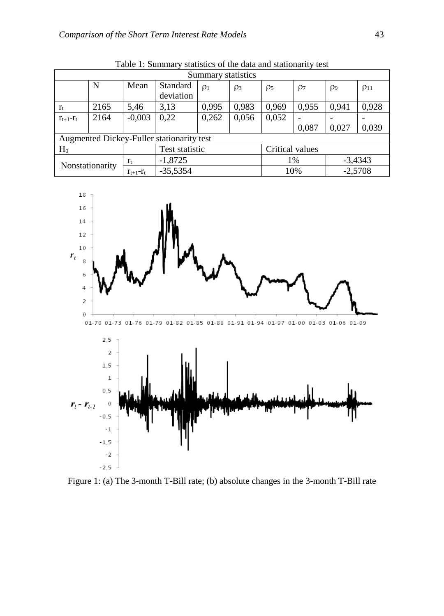| Summary statistics                        |      |               |                       |          |          |                 |                 |                     |             |
|-------------------------------------------|------|---------------|-----------------------|----------|----------|-----------------|-----------------|---------------------|-------------|
|                                           | N    | Mean          | Standard<br>deviation | $\rho_1$ | $\rho_3$ | $\rho_5$        | $\rho$          | $\rho$ <sup>9</sup> | $\rho_{11}$ |
| $r_{t}$                                   | 2165 | 5,46          | 3,13                  | 0,995    | 0,983    | 0,969           | 0,955           | 0.941               | 0,928       |
| $r_{t+1}-r_t$                             | 2164 | $-0,003$      | 0,22                  | 0,262    | 0,056    | 0,052           |                 |                     |             |
|                                           |      |               |                       |          |          |                 | 0.087           | 0,027               | 0,039       |
| Augmented Dickey-Fuller stationarity test |      |               |                       |          |          |                 |                 |                     |             |
| $H_0$                                     |      |               | Test statistic        |          |          | Critical values |                 |                     |             |
| Nonstationarity                           |      | $r_{t}$       | $-1,8725$             |          |          |                 | $-3,4343$<br>1% |                     |             |
|                                           |      | $r_{t+1}-r_t$ | $-35,5354$            |          |          | 10%             |                 |                     | $-2,5708$   |

Table 1: Summary statistics of the data and stationarity test



Figure 1: (a) The 3-month T-Bill rate; (b) absolute changes in the 3-month T-Bill rate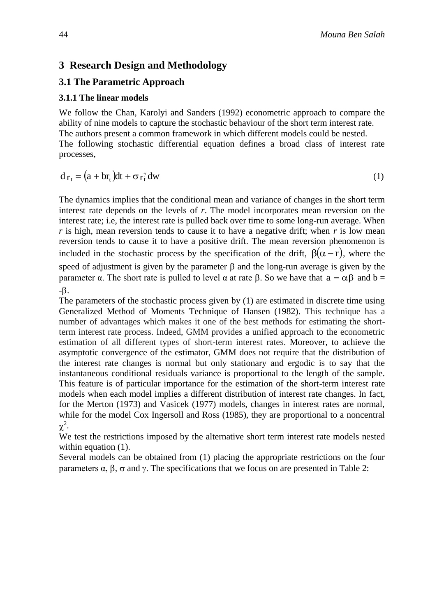# **3 Research Design and Methodology**

## **3.1 The Parametric Approach**

#### **3.1.1 The linear models**

We follow the Chan, Karolyi and Sanders (1992) econometric approach to compare the ability of nine models to capture the stochastic behaviour of the short term interest rate. The authors present a common framework in which different models could be nested. The following stochastic differential equation defines a broad class of interest rate processes,

$$
d_{\Gamma_t} = (a + b r_t) dt + \sigma r_t^{\gamma} dw \tag{1}
$$

The dynamics implies that the conditional mean and variance of changes in the short term interest rate depends on the levels of *r*. The model incorporates mean reversion on the interest rate; i.e, the interest rate is pulled back over time to some long-run average. When *r* is high, mean reversion tends to cause it to have a negative drift; when *r* is low mean reversion tends to cause it to have a positive drift. The mean reversion phenomenon is included in the stochastic process by the specification of the drift,  $\beta(\alpha-r)$ , where the speed of adjustment is given by the parameter  $\beta$  and the long-run average is given by the parameter α. The short rate is pulled to level α at rate β. So we have that  $a = \alpha \beta$  and  $b =$  $-\beta$ .

The parameters of the stochastic process given by (1) are estimated in discrete time using Generalized Method of Moments Technique of Hansen (1982). This technique has a number of advantages which makes it one of the best methods for estimating the shortterm interest rate process. Indeed, GMM provides a unified approach to the econometric estimation of all different types of short-term interest rates. Moreover, to achieve the asymptotic convergence of the estimator, GMM does not require that the distribution of the interest rate changes is normal but only stationary and ergodic is to say that the instantaneous conditional residuals variance is proportional to the length of the sample. This feature is of particular importance for the estimation of the short-term interest rate models when each model implies a different distribution of interest rate changes. In fact, for the Merton (1973) and Vasicek (1977) models, changes in interest rates are normal, while for the model Cox Ingersoll and Ross (1985), they are proportional to a noncentral  $\chi^2$ .

We test the restrictions imposed by the alternative short term interest rate models nested within equation  $(1)$ .

Several models can be obtained from (1) placing the appropriate restrictions on the four parameters  $\alpha$ ,  $\beta$ ,  $\sigma$  and  $\gamma$ . The specifications that we focus on are presented in Table 2: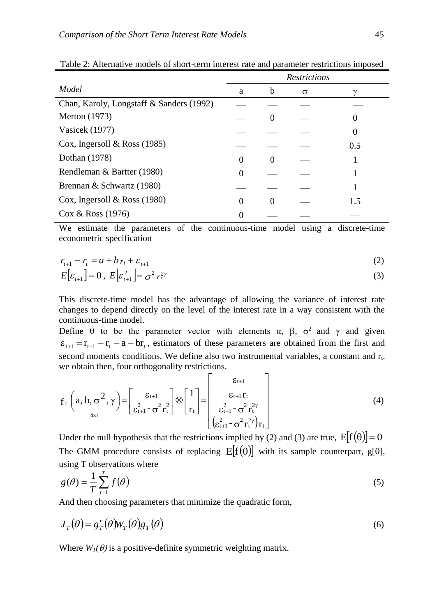|                                          | <b>Restrictions</b> |          |   |     |
|------------------------------------------|---------------------|----------|---|-----|
| Model                                    | a                   | b        | σ |     |
| Chan, Karoly, Longstaff & Sanders (1992) |                     |          |   |     |
| <b>Merton</b> (1973)                     |                     | $\theta$ |   |     |
| Vasicek (1977)                           |                     |          |   |     |
| Cox, Ingersoll & Ross $(1985)$           |                     |          |   | 0.5 |
| Dothan (1978)                            | $\Omega$            | 0        |   |     |
| Rendleman & Bartter (1980)               | 0                   |          |   |     |
| Brennan & Schwartz (1980)                |                     |          |   |     |
| Cox, Ingersoll & Ross $(1980)$           | 0                   | $\theta$ |   | 1.5 |
| $\cos \&$ Ross (1976)                    |                     |          |   |     |

Table 2: Alternative models of short-term interest rate and parameter restrictions imposed

We estimate the parameters of the continuous-time model using a discrete-time econometric specification

$$
r_{t+1} - r_t = a + b r_t + \varepsilon_{t+1}
$$
  
\n
$$
E[\varepsilon_{t+1}] = 0, E[\varepsilon_{t+1}^2] = \sigma^2 r_t^{2\gamma}
$$
\n(2)

This discrete-time model has the advantage of allowing the variance of interest rate changes to depend directly on the level of the interest rate in a way consistent with the continuous-time model.

Define  $\theta$  to be the parameter vector with elements  $\alpha$ ,  $\beta$ ,  $\sigma^2$  and  $\gamma$  and given  $\varepsilon_{t+1} = r_{t+1} - r_t - a - br_t$ , estimators of these parameters are obtained from the first and second moments conditions. We define also two instrumental variables, a constant and rt. we obtain then, four orthogonality restrictions.  $\overline{a}$ 

$$
f_t\left(a, b, \sigma^2, \gamma\right) = \begin{bmatrix} \varepsilon_{t+1} \\ \varepsilon_{t+1}^2 - \sigma^2 r_t^2 \end{bmatrix} \otimes \begin{bmatrix} 1 \\ r_t \end{bmatrix} = \begin{bmatrix} \varepsilon_{t+1} \\ \varepsilon_{t+1}^2 r_t \\ \varepsilon_{t+1}^2 - \sigma^2 r_t^{2\gamma} \\ \varepsilon_{t+1}^2 - \sigma^2 r_t^{2\gamma} \end{bmatrix}
$$
(4)

Under the null hypothesis that the restrictions implied by (2) and (3) are true,  $E[f(\theta)]=0$ The GMM procedure consists of replacing  $E[f(\theta)]$  with its sample counterpart, g[ $\theta$ ], using T observations where

$$
g(\theta) = \frac{1}{T} \sum_{t=1}^{T} f(\theta)
$$
\n<sup>(5)</sup>

And then choosing parameters that minimize the quadratic form,

$$
J_T(\theta) = g'_T(\theta) W_T(\theta) g_T(\theta)
$$
\n(6)

Where  $W_T(\theta)$  is a positive-definite symmetric weighting matrix.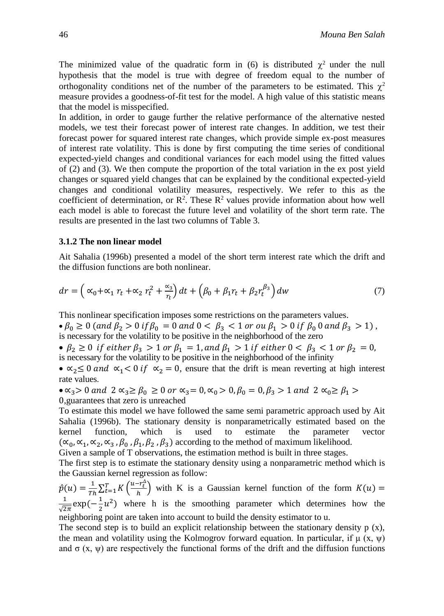The minimized value of the quadratic form in (6) is distributed  $\chi^2$  under the null hypothesis that the model is true with degree of freedom equal to the number of orthogonality conditions net of the number of the parameters to be estimated. This  $\chi^2$ measure provides a goodness-of-fit test for the model. A high value of this statistic means that the model is misspecified.

In addition, in order to gauge further the relative performance of the alternative nested models, we test their forecast power of interest rate changes. In addition, we test their forecast power for squared interest rate changes, which provide simple ex-post measures of interest rate volatility. This is done by first computing the time series of conditional expected-yield changes and conditional variances for each model using the fitted values of (2) and (3). We then compute the proportion of the total variation in the ex post yield changes or squared yield changes that can be explained by the conditional expected-yield changes and conditional volatility measures, respectively. We refer to this as the coefficient of determination, or  $\mathbb{R}^2$ . These  $\mathbb{R}^2$  values provide information about how well each model is able to forecast the future level and volatility of the short term rate. The results are presented in the last two columns of Table 3.

#### **3.1.2 The non linear model**

Ait Sahalia (1996b) presented a model of the short term interest rate which the drift and the diffusion functions are both nonlinear.

$$
dr = \left(\alpha_0 + \alpha_1 r_t + \alpha_2 r_t^2 + \frac{\alpha_3}{r_t}\right)dt + \left(\beta_0 + \beta_1 r_t + \beta_2 r_t^{\beta_3}\right)dw\tag{7}
$$

This nonlinear specification imposes some restrictions on the parameters values.

 $\bullet \beta_0 \geq 0$  (and  $\beta_2 > 0$  if  $\beta_0 = 0$  and  $0 < \beta_3 < 1$  or ou  $\beta_1 > 0$  if  $\beta_0$  0 and  $\beta_3 > 1$ ), is necessary for the volatility to be positive in the neighborhood of the zero

•  $\beta_2 \geq 0$  if either  $\beta_3 > 1$  or  $\beta_1 = 1$ , and  $\beta_1 > 1$  if either  $0 < \beta_3 < 1$  or  $\beta_2 = 0$ , is necessary for the volatility to be positive in the neighborhood of the infinity

•  $\alpha_2 \leq 0$  and  $\alpha_1 < 0$  if  $\alpha_2 = 0$ , ensure that the drift is mean reverting at high interest rate values.

•  $\alpha_3 > 0$  and  $2 \alpha_3 \ge \beta_0 \ge 0$  or  $\alpha_3 = 0, \alpha_0 > 0, \beta_0 = 0, \beta_3 > 1$  and  $2 \alpha_0 \ge \beta_1 > 1$ 0,guarantees that zero is unreached

To estimate this model we have followed the same semi parametric approach used by Ait Sahalia (1996b). The stationary density is nonparametrically estimated based on the kernel function, which is used to estimate the parameter vector  $(\alpha_0, \alpha_1, \alpha_2, \alpha_3, \beta_0, \beta_1, \beta_2, \beta_3)$  according to the method of maximum likelihood.

Given a sample of T observations, the estimation method is built in three stages.

The first step is to estimate the stationary density using a nonparametric method which is the Gaussian kernel regression as follow:

 $\hat{p}(u) = \frac{1}{\pi u}$  $\frac{1}{Th} \sum_{t=1}^{T} K\left(\frac{u-r_t^{\Delta}}{h}\right)$  $\int_{t=1}^{T} K\left(\frac{u-r_{\xi}}{h}\right)$  with K is a Gaussian kernel function of the form  $K(u) =$ 1  $\frac{1}{\sqrt{2\pi}}\exp(-\frac{1}{2})$  $\frac{1}{2}u^2$ ) where h is the smoothing parameter which determines how the neighboring point are taken into account to build the density estimator to u.

The second step is to build an explicit relationship between the stationary density  $p(x)$ , the mean and volatility using the Kolmogrov forward equation. In particular, if  $\mu$  (x,  $\psi$ ) and  $\sigma$  (x,  $\psi$ ) are respectively the functional forms of the drift and the diffusion functions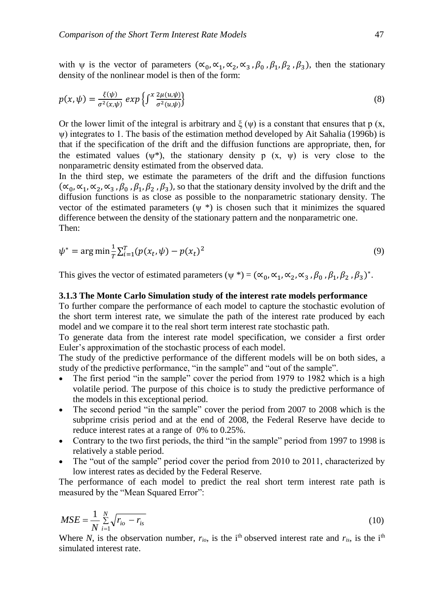with  $\psi$  is the vector of parameters  $(\alpha_0, \alpha_1, \alpha_2, \alpha_3, \beta_0, \beta_1, \beta_2, \beta_3)$ , then the stationary density of the nonlinear model is then of the form:

$$
p(x,\psi) = \frac{\xi(\psi)}{\sigma^2(x,\psi)} \exp\left\{ \int^x \frac{2\mu(u,\psi)}{\sigma^2(u,\psi)} \right\} \tag{8}
$$

Or the lower limit of the integral is arbitrary and  $\xi(\psi)$  is a constant that ensures that p (x, ψ) integrates to 1. The basis of the estimation method developed by Ait Sahalia (1996b) is that if the specification of the drift and the diffusion functions are appropriate, then, for the estimated values ( $\psi^*$ ), the stationary density p (x,  $\psi$ ) is very close to the nonparametric density estimated from the observed data.

In the third step, we estimate the parameters of the drift and the diffusion functions  $(\alpha_0, \alpha_1, \alpha_2, \alpha_3, \beta_0, \beta_1, \beta_2, \beta_3)$ , so that the stationary density involved by the drift and the diffusion functions is as close as possible to the nonparametric stationary density. The vector of the estimated parameters  $(\psi^*)$  is chosen such that it minimizes the squared difference between the density of the stationary pattern and the nonparametric one. Then:

$$
\psi^* = \arg \min \frac{1}{T} \sum_{i=1}^T (p(x_t, \psi) - p(x_t)^2)
$$
\n(9)

This gives the vector of estimated parameters ( $\psi$  \*) = ( $\alpha_0$ ,  $\alpha_1$ ,  $\alpha_2$ ,  $\alpha_3$ ,  $\beta_0$ ,  $\beta_1$ ,  $\beta_2$ ,  $\beta_3$ )<sup>\*</sup>.

#### **3.1.3 The Monte Carlo Simulation study of the interest rate models performance**

To further compare the performance of each model to capture the stochastic evolution of the short term interest rate, we simulate the path of the interest rate produced by each model and we compare it to the real short term interest rate stochastic path.

To generate data from the interest rate model specification, we consider a first order Euler's approximation of the stochastic process of each model.

The study of the predictive performance of the different models will be on both sides, a study of the predictive performance, "in the sample" and "out of the sample".

- The first period "in the sample" cover the period from 1979 to 1982 which is a high volatile period. The purpose of this choice is to study the predictive performance of the models in this exceptional period.
- The second period "in the sample" cover the period from 2007 to 2008 which is the subprime crisis period and at the end of 2008, the Federal Reserve have decide to reduce interest rates at a range of 0% to 0.25%.
- Contrary to the two first periods, the third "in the sample" period from 1997 to 1998 is relatively a stable period.
- The "out of the sample" period cover the period from 2010 to 2011, characterized by low interest rates as decided by the Federal Reserve.

The performance of each model to predict the real short term interest rate path is measured by the "Mean Squared Error":

$$
MSE = \frac{1}{N} \sum_{i=1}^{N} \sqrt{r_{io} - r_{is}}
$$
(10)

Where *N*, is the observation number,  $r_{io}$ , is the i<sup>th</sup> observed interest rate and  $r_{is}$ , is the i<sup>th</sup> simulated interest rate.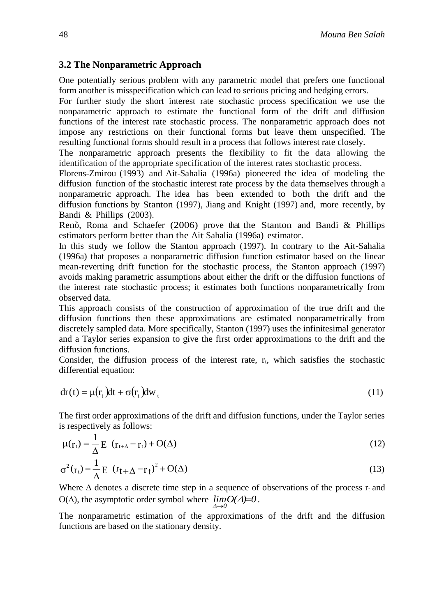#### **3.2 The Nonparametric Approach**

One potentially serious problem with any parametric model that prefers one functional form another is misspecification which can lead to serious pricing and hedging errors.

For further study the short interest rate stochastic process specification we use the nonparametric approach to estimate the functional form of the drift and diffusion functions of the interest rate stochastic process. The nonparametric approach does not impose any restrictions on their functional forms but leave them unspecified. The resulting functional forms should result in a process that follows interest rate closely.

The nonparametric approach presents the flexibility to fit the data allowing the identification of the appropriate specification of the interest rates stochastic process.

Florens-Zmirou (1993) and Ait-Sahalia (1996a) pioneered the idea of modeling the diffusion function of the stochastic interest rate process by the data themselves through a nonparametric approach. The idea has been extended to both the drift and the diffusion functions by Stanton (1997), Jiang and Knight (1997) and, more recently, by Bandi & Phillips (2003).

Renò, Roma and Schaefer (2006) prove that the Stanton and Bandi  $\&$  Phillips estimators perform better than the Ait Sahalia (1996a) estimator.

In this study we follow the Stanton approach (1997). In contrary to the Ait-Sahalia (1996a) that proposes a nonparametric diffusion function estimator based on the linear mean-reverting drift function for the stochastic process, the Stanton approach (1997) avoids making parametric assumptions about either the drift or the diffusion functions of the interest rate stochastic process; it estimates both functions nonparametrically from observed data.

This approach consists of the construction of approximation of the true drift and the diffusion functions then these approximations are estimated nonparametrically from discretely sampled data. More specifically, Stanton (1997) uses the infinitesimal generator and a Taylor series expansion to give the first order approximations to the drift and the diffusion functions.

Consider, the diffusion process of the interest rate,  $r_t$ , which satisfies the stochastic differential equation:

$$
dr(t) = \mu(r_t)dt + \sigma(r_t)dw_t
$$
\n(11)

The first order approximations of the drift and diffusion functions, under the Taylor series is respectively as follows:

$$
\mu(\mathbf{r}_{t}) = \frac{1}{\Delta} \mathbf{E} \quad (\mathbf{r}_{t+\Delta} - \mathbf{r}_{t}) + \mathbf{O}(\Delta)
$$
\n(12)

$$
\sigma^{2}(\mathbf{r}_{t}) = \frac{1}{\Delta} \mathbf{E} \left( \mathbf{r}_{t + \Delta} - \mathbf{r}_{t} \right)^{2} + \mathbf{O}(\Delta)
$$
\n(13)

Where  $\Delta$  denotes a discrete time step in a sequence of observations of the process  $r_t$  and  $O(\Delta)$ , the asymptotic order symbol where  $\lim_{\Delta t \to 0} O(\Delta) = 0$ . *0*  $\rightarrow$  $\Lambda$ 

The nonparametric estimation of the approximations of the drift and the diffusion functions are based on the stationary density.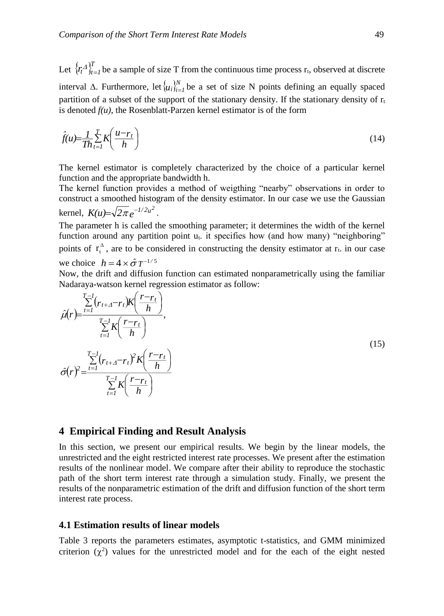Let  $\{r_t^{\Delta}\}_{t=1}^T$  $r_t A_{t=1}^U$  be a sample of size T from the continuous time process  $r_t$ , observed at discrete interval  $\Delta$ . Furthermore, let  $\{u_i\}_{i=1}^N$  be a set of size N points defining an equally spaced partition of a subset of the support of the stationary density. If the stationary density of  $r_t$ is denoted  $f(u)$ , the Rosenblatt-Parzen kernel estimator is of the form

$$
\hat{f}(u) = \frac{1}{Th} \sum_{t=1}^{T} K\left(\frac{u - r_t}{h}\right)
$$
\n(14)

The kernel estimator is completely characterized by the choice of a particular kernel function and the appropriate bandwidth h.

The kernel function provides a method of weigthing "nearby" observations in order to construct a smoothed histogram of the density estimator. In our case we use the Gaussian kernel,  $K(u) = \sqrt{2\pi} e^{-1/2u^2}$ .

The parameter h is called the smoothing parameter; it determines the width of the kernel function around any partition point  $u_t$ . it specifies how (and how many) "neighboring" points of  $r_t^{\Delta}$  $r_t^{\Delta}$ , are to be considered in constructing the density estimator at  $r_t$ . in our case we choice  $h = 4 \times \hat{\sigma} T^{-1/5}$ 

Now, the drift and diffusion function can estimated nonparametrically using the familiar Nadaraya-watson kernel regression estimator as follow:



#### **4 Empirical Finding and Result Analysis**

In this section, we present our empirical results. We begin by the linear models, the unrestricted and the eight restricted interest rate processes. We present after the estimation results of the nonlinear model. We compare after their ability to reproduce the stochastic path of the short term interest rate through a simulation study. Finally, we present the results of the nonparametric estimation of the drift and diffusion function of the short term interest rate process.

#### **4.1 Estimation results of linear models**

Table 3 reports the parameters estimates, asymptotic t-statistics, and GMM minimized criterion  $(\chi^2)$  values for the unrestricted model and for the each of the eight nested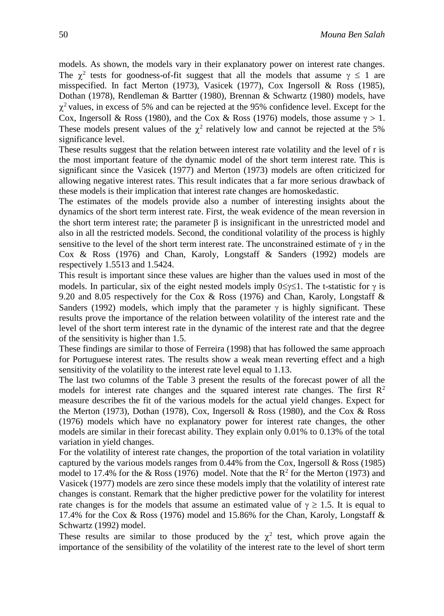models. As shown, the models vary in their explanatory power on interest rate changes. The  $\chi^2$  tests for goodness-of-fit suggest that all the models that assume  $\gamma \leq 1$  are misspecified. In fact Merton (1973), Vasicek (1977), Cox Ingersoll & Ross (1985), Dothan (1978), Rendleman & Bartter (1980), Brennan & Schwartz (1980) models, have  $\chi^2$  values, in excess of 5% and can be rejected at the 95% confidence level. Except for the Cox, Ingersoll & Ross (1980), and the Cox & Ross (1976) models, those assume  $\gamma > 1$ . These models present values of the  $\chi^2$  relatively low and cannot be rejected at the 5% significance level.

These results suggest that the relation between interest rate volatility and the level of r is the most important feature of the dynamic model of the short term interest rate. This is significant since the Vasicek (1977) and Merton (1973) models are often criticized for allowing negative interest rates. This result indicates that a far more serious drawback of these models is their implication that interest rate changes are homoskedastic.

The estimates of the models provide also a number of interesting insights about the dynamics of the short term interest rate. First, the weak evidence of the mean reversion in the short term interest rate; the parameter  $\beta$  is insignificant in the unrestricted model and also in all the restricted models. Second, the conditional volatility of the process is highly sensitive to the level of the short term interest rate. The unconstrained estimate of  $\gamma$  in the Cox & Ross (1976) and Chan, Karoly, Longstaff & Sanders (1992) models are respectively 1.5513 and 1.5424.

This result is important since these values are higher than the values used in most of the models. In particular, six of the eight nested models imply  $0 \le \gamma \le 1$ . The t-statistic for  $\gamma$  is 9.20 and 8.05 respectively for the Cox & Ross (1976) and Chan, Karoly, Longstaff  $\&$ Sanders (1992) models, which imply that the parameter  $\gamma$  is highly significant. These results prove the importance of the relation between volatility of the interest rate and the level of the short term interest rate in the dynamic of the interest rate and that the degree of the sensitivity is higher than 1.5.

These findings are similar to those of Ferreira (1998) that has followed the same approach for Portuguese interest rates. The results show a weak mean reverting effect and a high sensitivity of the volatility to the interest rate level equal to 1.13.

The last two columns of the Table 3 present the results of the forecast power of all the models for interest rate changes and the squared interest rate changes. The first  $\mathbb{R}^2$ measure describes the fit of the various models for the actual yield changes. Expect for the Merton (1973), Dothan (1978), Cox, Ingersoll & Ross (1980), and the Cox & Ross (1976) models which have no explanatory power for interest rate changes, the other models are similar in their forecast ability. They explain only 0.01% to 0.13% of the total variation in yield changes.

For the volatility of interest rate changes, the proportion of the total variation in volatility captured by the various models ranges from 0.44% from the Cox, Ingersoll & Ross (1985) model to 17.4% for the  $& Ross (1976) \text{ model}$ . Note that the  $R^2$  for the Merton (1973) and Vasicek (1977) models are zero since these models imply that the volatility of interest rate changes is constant. Remark that the higher predictive power for the volatility for interest rate changes is for the models that assume an estimated value of  $\gamma \geq 1.5$ . It is equal to 17.4% for the Cox & Ross (1976) model and 15.86% for the Chan, Karoly, Longstaff & Schwartz (1992) model.

These results are similar to those produced by the  $\chi^2$  test, which prove again the importance of the sensibility of the volatility of the interest rate to the level of short term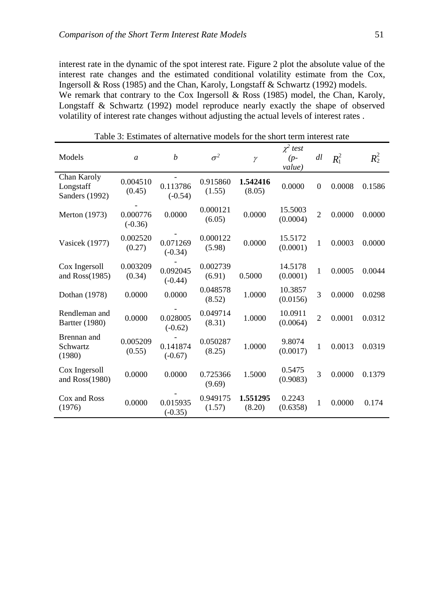interest rate in the dynamic of the spot interest rate. Figure 2 plot the absolute value of the interest rate changes and the estimated conditional volatility estimate from the Cox, Ingersoll & Ross (1985) and the Chan, Karoly, Longstaff & Schwartz (1992) models. We remark that contrary to the Cox Ingersoll & Ross (1985) model, the Chan, Karoly, Longstaff & Schwartz (1992) model reproduce nearly exactly the shape of observed volatility of interest rate changes without adjusting the actual levels of interest rates .

| Models                                     | $\mathfrak{a}$        | $\boldsymbol{b}$      | $\sigma^2$         | $\gamma$           | $\chi^2$ test<br>$(p-$<br>value) | dl             | $R_1^2$ | $R_2^2$ |
|--------------------------------------------|-----------------------|-----------------------|--------------------|--------------------|----------------------------------|----------------|---------|---------|
| Chan Karoly<br>Longstaff<br>Sanders (1992) | 0.004510<br>(0.45)    | 0.113786<br>$(-0.54)$ | 0.915860<br>(1.55) | 1.542416<br>(8.05) | 0.0000                           | $\Omega$       | 0.0008  | 0.1586  |
| <b>Merton</b> (1973)                       | 0.000776<br>$(-0.36)$ | 0.0000                | 0.000121<br>(6.05) | 0.0000             | 15.5003<br>(0.0004)              | $\overline{2}$ | 0.0000  | 0.0000  |
| Vasicek (1977)                             | 0.002520<br>(0.27)    | 0.071269<br>$(-0.34)$ | 0.000122<br>(5.98) | 0.0000             | 15.5172<br>(0.0001)              | 1              | 0.0003  | 0.0000  |
| Cox Ingersoll<br>and Ross(1985)            | 0.003209<br>(0.34)    | 0.092045<br>$(-0.44)$ | 0.002739<br>(6.91) | 0.5000             | 14.5178<br>(0.0001)              | 1              | 0.0005  | 0.0044  |
| Dothan (1978)                              | 0.0000                | 0.0000                | 0.048578<br>(8.52) | 1.0000             | 10.3857<br>(0.0156)              | 3              | 0.0000  | 0.0298  |
| Rendleman and<br><b>Bartter</b> (1980)     | 0.0000                | 0.028005<br>$(-0.62)$ | 0.049714<br>(8.31) | 1.0000             | 10.0911<br>(0.0064)              | $\overline{2}$ | 0.0001  | 0.0312  |
| Brennan and<br><b>Schwartz</b><br>(1980)   | 0.005209<br>(0.55)    | 0.141874<br>$(-0.67)$ | 0.050287<br>(8.25) | 1.0000             | 9.8074<br>(0.0017)               | 1              | 0.0013  | 0.0319  |
| Cox Ingersoll<br>and Ross(1980)            | 0.0000                | 0.0000                | 0.725366<br>(9.69) | 1.5000             | 0.5475<br>(0.9083)               | 3              | 0.0000  | 0.1379  |
| Cox and Ross<br>(1976)                     | 0.0000                | 0.015935<br>$(-0.35)$ | 0.949175<br>(1.57) | 1.551295<br>(8.20) | 0.2243<br>(0.6358)               | 1              | 0.0000  | 0.174   |

Table 3: Estimates of alternative models for the short term interest rate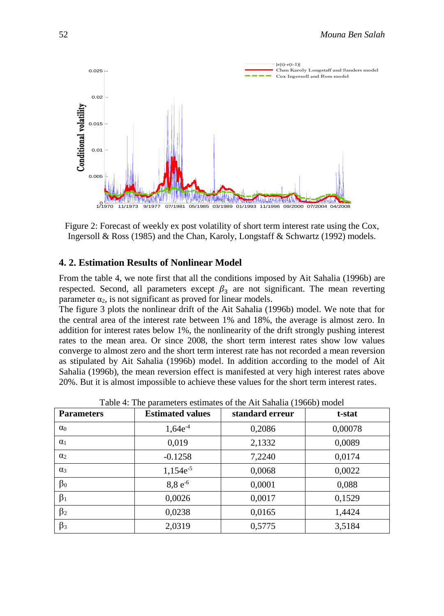

Figure 2: Forecast of weekly ex post volatility of short term interest rate using the Cox, Ingersoll & Ross (1985) and the Chan, Karoly, Longstaff & Schwartz (1992) models.

#### **4. 2. Estimation Results of Nonlinear Model**

From the table 4, we note first that all the conditions imposed by Ait Sahalia (1996b) are respected. Second, all parameters except  $\beta_3$  are not significant. The mean reverting parameter  $\alpha_2$ , is not significant as proved for linear models.

The figure 3 plots the nonlinear drift of the Ait Sahalia (1996b) model. We note that for the central area of the interest rate between 1% and 18%, the average is almost zero. In addition for interest rates below 1%, the nonlinearity of the drift strongly pushing interest rates to the mean area. Or since 2008, the short term interest rates show low values converge to almost zero and the short term interest rate has not recorded a mean reversion as stipulated by Ait Sahalia (1996b) model. In addition according to the model of Ait Sahalia (1996b), the mean reversion effect is manifested at very high interest rates above 20%. But it is almost impossible to achieve these values for the short term interest rates.

| <b>Parameters</b> | <b>Estimated values</b> | standard erreur | t-stat  |  |
|-------------------|-------------------------|-----------------|---------|--|
| $\alpha_0$        | $1,64e^{-4}$            | 0,2086          | 0,00078 |  |
| $\alpha_1$        | 0,019                   | 2,1332          | 0,0089  |  |
| $\alpha_2$        | $-0.1258$               | 7,2240          | 0,0174  |  |
| $\alpha_3$        | $1,154e^{-5}$           | 0,0068          | 0,0022  |  |
| $\beta_0$         | $8,8e^{-6}$             | 0,0001          | 0,088   |  |
| $\beta_1$         | 0,0026                  | 0,0017          | 0,1529  |  |
| $\beta_2$         | 0,0238                  | 0,0165          | 1,4424  |  |
| $\beta_3$         | 2,0319                  | 0,5775          | 3,5184  |  |

Table 4: The parameters estimates of the Ait Sahalia (1966b) model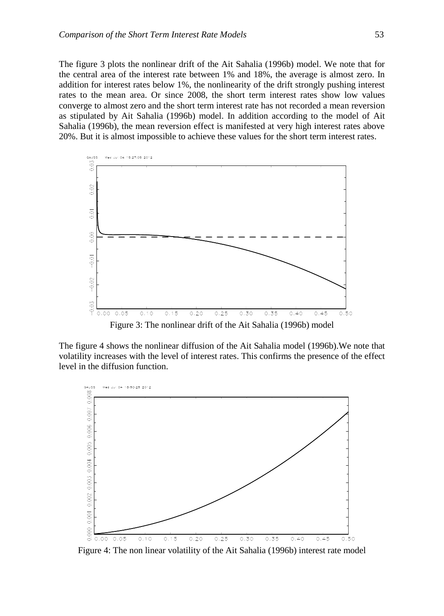The figure 3 plots the nonlinear drift of the Ait Sahalia (1996b) model. We note that for the central area of the interest rate between 1% and 18%, the average is almost zero. In addition for interest rates below 1%, the nonlinearity of the drift strongly pushing interest rates to the mean area. Or since 2008, the short term interest rates show low values converge to almost zero and the short term interest rate has not recorded a mean reversion as stipulated by Ait Sahalia (1996b) model. In addition according to the model of Ait Sahalia (1996b), the mean reversion effect is manifested at very high interest rates above 20%. But it is almost impossible to achieve these values for the short term interest rates.



The figure 4 shows the nonlinear diffusion of the Ait Sahalia model (1996b).We note that volatility increases with the level of interest rates. This confirms the presence of the effect level in the diffusion function.



Figure 4: The non linear volatility of the Ait Sahalia (1996b) interest rate model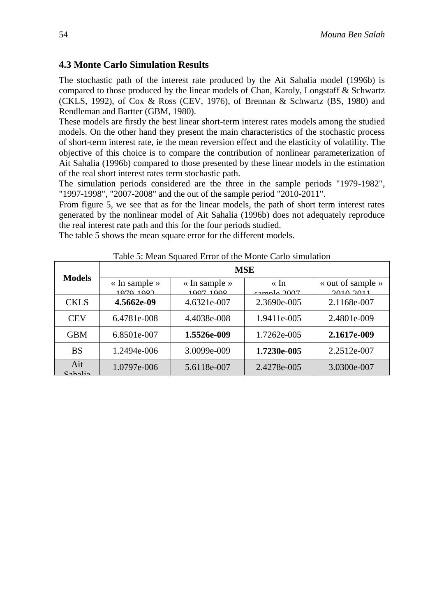## **4.3 Monte Carlo Simulation Results**

The stochastic path of the interest rate produced by the Ait Sahalia model (1996b) is compared to those produced by the linear models of Chan, Karoly, Longstaff & Schwartz (CKLS, 1992), of Cox & Ross (CEV, 1976), of Brennan & Schwartz (BS, 1980) and Rendleman and Bartter (GBM, 1980).

These models are firstly the best linear short-term interest rates models among the studied models. On the other hand they present the main characteristics of the stochastic process of short-term interest rate, ie the mean reversion effect and the elasticity of volatility. The objective of this choice is to compare the contribution of nonlinear parameterization of Ait Sahalia (1996b) compared to those presented by these linear models in the estimation of the real short interest rates term stochastic path.

The simulation periods considered are the three in the sample periods "1979-1982", "1997-1998", "2007-2008" and the out of the sample period "2010-2011".

From figure 5, we see that as for the linear models, the path of short term interest rates generated by the nonlinear model of Ait Sahalia (1996b) does not adequately reproduce the real interest rate path and this for the four periods studied.

The table 5 shows the mean square error for the different models.

#### Table 5: Mean Squared Error of the Monte Carlo simulation

| <b>Models</b>              | <b>MSE</b>                                 |                                            |                          |                                |  |  |  |  |
|----------------------------|--------------------------------------------|--------------------------------------------|--------------------------|--------------------------------|--|--|--|--|
|                            | $\langle$ In sample $\rangle$<br>1070 1082 | $\langle$ In sample $\rangle$<br>1007 1009 | $\ll \ln$<br>comple 2007 | « out of sample »<br>2010.2011 |  |  |  |  |
| <b>CKLS</b>                | 4.5662e-09                                 | 4.6321e-007                                | 2.3690e-005              | 2.1168e-007                    |  |  |  |  |
| <b>CEV</b>                 | 6.4781e-008                                | 4.4038e-008                                | 1.9411e-005              | 2.4801e-009                    |  |  |  |  |
| <b>GBM</b>                 | 6.8501e-007                                | 1.5526e-009                                | 1.7262e-005              | 2.1617e-009                    |  |  |  |  |
| <b>BS</b>                  | 1.2494e-006                                | 3.0099e-009                                | 1.7230e-005              | 2.2512e-007                    |  |  |  |  |
| Ait<br>Coholi <sub>2</sub> | 1.0797e-006                                | 5.6118e-007                                | 2.4278e-005              | 3.0300e-007                    |  |  |  |  |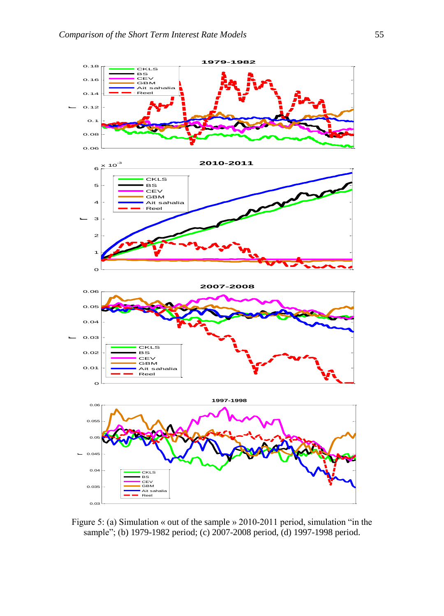

Figure 5: (a) Simulation « out of the sample » 2010-2011 period, simulation "in the sample"; (b) 1979-1982 period; (c) 2007-2008 period, (d) 1997-1998 period.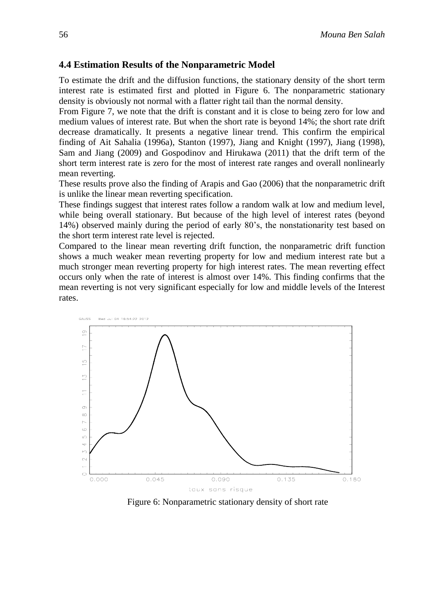#### **4.4 Estimation Results of the Nonparametric Model**

To estimate the drift and the diffusion functions, the stationary density of the short term interest rate is estimated first and plotted in Figure 6. The nonparametric stationary density is obviously not normal with a flatter right tail than the normal density.

From Figure 7, we note that the drift is constant and it is close to being zero for low and medium values of interest rate. But when the short rate is beyond 14%; the short rate drift decrease dramatically. It presents a negative linear trend. This confirm the empirical finding of Ait Sahalia (1996a), Stanton (1997), Jiang and Knight (1997), Jiang (1998), Sam and Jiang (2009) and Gospodinov and Hirukawa (2011) that the drift term of the short term interest rate is zero for the most of interest rate ranges and overall nonlinearly mean reverting.

These results prove also the finding of Arapis and Gao (2006) that the nonparametric drift is unlike the linear mean reverting specification.

These findings suggest that interest rates follow a random walk at low and medium level, while being overall stationary. But because of the high level of interest rates (beyond 14%) observed mainly during the period of early 80's, the nonstationarity test based on the short term interest rate level is rejected.

Compared to the linear mean reverting drift function, the nonparametric drift function shows a much weaker mean reverting property for low and medium interest rate but a much stronger mean reverting property for high interest rates. The mean reverting effect occurs only when the rate of interest is almost over 14%. This finding confirms that the mean reverting is not very significant especially for low and middle levels of the Interest rates.



Figure 6: Nonparametric stationary density of short rate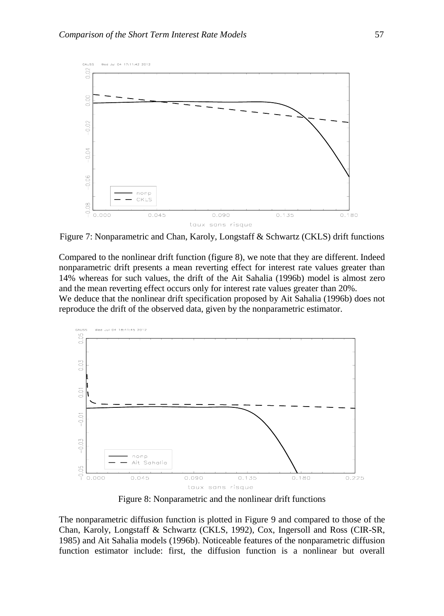

Figure 7: Nonparametric and Chan, Karoly, Longstaff & Schwartz (CKLS) drift functions

Compared to the nonlinear drift function (figure 8), we note that they are different. Indeed nonparametric drift presents a mean reverting effect for interest rate values greater than 14% whereas for such values, the drift of the Ait Sahalia (1996b) model is almost zero and the mean reverting effect occurs only for interest rate values greater than 20%. We deduce that the nonlinear drift specification proposed by Ait Sahalia (1996b) does not reproduce the drift of the observed data, given by the nonparametric estimator.



Figure 8: Nonparametric and the nonlinear drift functions

The nonparametric diffusion function is plotted in Figure 9 and compared to those of the Chan, Karoly, Longstaff & Schwartz (CKLS, 1992), Cox, Ingersoll and Ross (CIR-SR, 1985) and Ait Sahalia models (1996b). Noticeable features of the nonparametric diffusion function estimator include: first, the diffusion function is a nonlinear but overall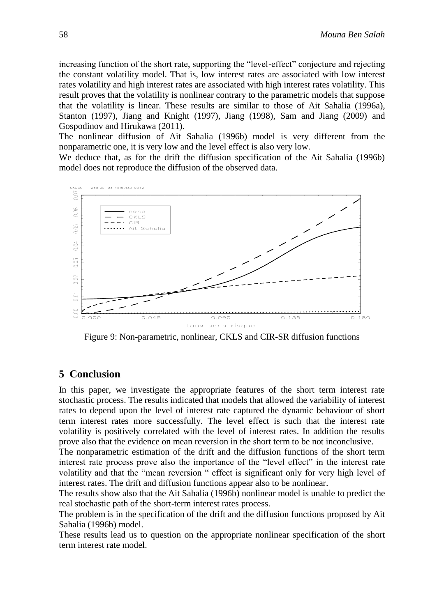increasing function of the short rate, supporting the "level-effect" conjecture and rejecting the constant volatility model. That is, low interest rates are associated with low interest rates volatility and high interest rates are associated with high interest rates volatility. This result proves that the volatility is nonlinear contrary to the parametric models that suppose that the volatility is linear. These results are similar to those of Ait Sahalia (1996a), Stanton (1997), Jiang and Knight (1997), Jiang (1998), Sam and Jiang (2009) and Gospodinov and Hirukawa (2011).

The nonlinear diffusion of Ait Sahalia (1996b) model is very different from the nonparametric one, it is very low and the level effect is also very low.

We deduce that, as for the drift the diffusion specification of the Ait Sahalia (1996b) model does not reproduce the diffusion of the observed data.



Figure 9: Non-parametric, nonlinear, CKLS and CIR-SR diffusion functions

# **5 Conclusion**

In this paper, we investigate the appropriate features of the short term interest rate stochastic process. The results indicated that models that allowed the variability of interest rates to depend upon the level of interest rate captured the dynamic behaviour of short term interest rates more successfully. The level effect is such that the interest rate volatility is positively correlated with the level of interest rates. In addition the results prove also that the evidence on mean reversion in the short term to be not inconclusive.

The nonparametric estimation of the drift and the diffusion functions of the short term interest rate process prove also the importance of the "level effect" in the interest rate volatility and that the "mean reversion " effect is significant only for very high level of interest rates. The drift and diffusion functions appear also to be nonlinear.

The results show also that the Ait Sahalia (1996b) nonlinear model is unable to predict the real stochastic path of the short-term interest rates process.

The problem is in the specification of the drift and the diffusion functions proposed by Ait Sahalia (1996b) model.

These results lead us to question on the appropriate nonlinear specification of the short term interest rate model.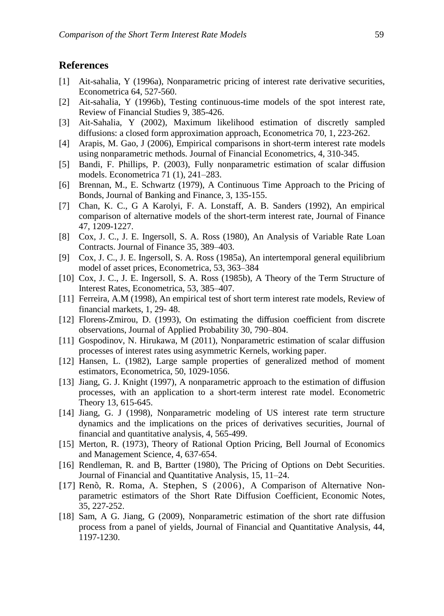### **References**

- [1] Ait-sahalia, Y (1996a), Nonparametric pricing of interest rate derivative securities, Econometrica 64, 527-560.
- [2] Ait-sahalia, Y (1996b), Testing continuous-time models of the spot interest rate, Review of Financial Studies 9, 385-426.
- [3] Ait-Sahalia, Y (2002), Maximum likelihood estimation of discretly sampled diffusions: a closed form approximation approach, Econometrica 70, 1, 223-262.
- [4] Arapis, M. Gao, J (2006), Empirical comparisons in short-term interest rate models using nonparametric methods*.* Journal of Financial Econometrics, 4, 310-345.
- [5] Bandi, F. Phillips, P. (2003), Fully nonparametric estimation of scalar diffusion models. Econometrica 71 (1), 241–283.
- [6] Brennan, M., E. Schwartz (1979), A Continuous Time Approach to the Pricing of Bonds, Journal of Banking and Finance, 3, 135-155.
- [7] Chan, K. C., G A Karolyi, F. A. Lonstaff, A. B. Sanders (1992), An empirical comparison of alternative models of the short-term interest rate, Journal of Finance 47, 1209-1227.
- [8] Cox, J. C., J. E. Ingersoll, S. A. Ross (1980), An Analysis of Variable Rate Loan Contracts. Journal of Finance 35, 389–403.
- [9] Cox, J. C., J. E. Ingersoll, S. A. Ross (1985a), An intertemporal general equilibrium model of asset prices, Econometrica, 53, 363–384
- [10] Cox, J. C., J. E. Ingersoll, S. A. Ross (1985b), A Theory of the Term Structure of Interest Rates, Econometrica, 53, 385–407.
- [11] Ferreira, A.M (1998), An empirical test of short term interest rate models, Review of financial markets, 1, 29- 48.
- [12] Florens-Zmirou, D. (1993), On estimating the diffusion coefficient from discrete observations, Journal of Applied Probability 30, 790–804.
- [11] Gospodinov, N. Hirukawa, M (2011), Nonparametric estimation of scalar diffusion processes of interest rates using asymmetric Kernels, working paper.
- [12] Hansen, L. (1982), Large sample properties of generalized method of moment estimators, Econometrica, 50, 1029-1056.
- [13] Jiang, G. J. Knight (1997), A nonparametric approach to the estimation of diffusion processes, with an application to a short-term interest rate model. Econometric Theory 13, 615-645.
- [14] Jiang, G. J (1998), Nonparametric modeling of US interest rate term structure dynamics and the implications on the prices of derivatives securities, Journal of financial and quantitative analysis, 4, 565-499.
- [15] Merton, R. (1973), Theory of Rational Option Pricing, Bell Journal of Economics and Management Science, 4, 637-654.
- [16] Rendleman, R. and B, Bartter (1980), The Pricing of Options on Debt Securities. Journal of Financial and Quantitative Analysis, 15, 11–24.
- [17] Renò, R. Roma, A. Stephen, S (2006), A Comparison of Alternative Nonparametric estimators of the Short Rate Diffusion Coefficient, Economic Notes, 35, 227-252.
- [18] Sam, A G. Jiang, G (2009), Nonparametric estimation of the short rate diffusion process from a panel of yields, Journal of Financial and Quantitative Analysis, 44, 1197-1230.